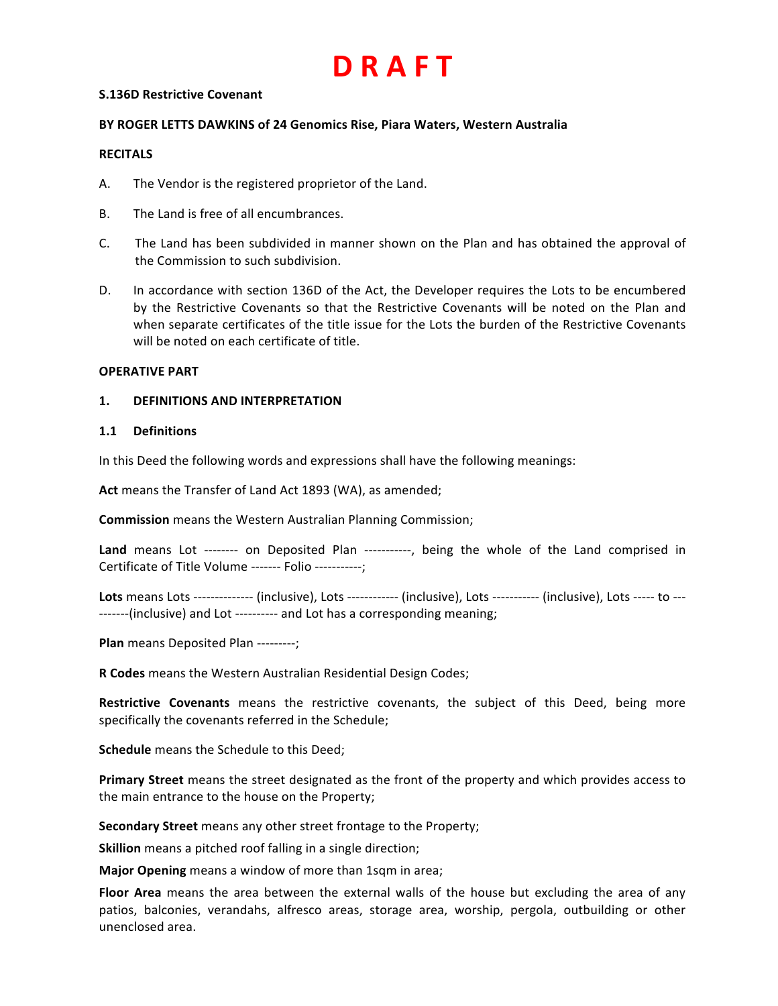#### **S.136D Restrictive Covenant**

#### **BY ROGER LETTS DAWKINS of 24 Genomics Rise, Piara Waters, Western Australia**

#### **RECITALS**

- A. The Vendor is the registered proprietor of the Land.
- B. The Land is free of all encumbrances.
- C. The Land has been subdivided in manner shown on the Plan and has obtained the approval of the Commission to such subdivision.
- D. In accordance with section 136D of the Act, the Developer requires the Lots to be encumbered by the Restrictive Covenants so that the Restrictive Covenants will be noted on the Plan and when separate certificates of the title issue for the Lots the burden of the Restrictive Covenants will be noted on each certificate of title.

#### **OPERATIVE PART**

#### **1. DEFINITIONS AND INTERPRETATION**

#### **1.1 Definitions**

In this Deed the following words and expressions shall have the following meanings:

Act means the Transfer of Land Act 1893 (WA), as amended;

**Commission** means the Western Australian Planning Commission;

**Land** means Lot -------- on Deposited Plan -----------, being the whole of the Land comprised in Certificate of Title Volume ------- Folio -----------;

Lots means Lots -------------- (inclusive), Lots ------------ (inclusive), Lots ----------- (inclusive), Lots ----- to ----------(inclusive) and Lot ---------- and Lot has a corresponding meaning;

**Plan** means Deposited Plan ---------;

**R Codes** means the Western Australian Residential Design Codes;

**Restrictive Covenants** means the restrictive covenants, the subject of this Deed, being more specifically the covenants referred in the Schedule;

**Schedule** means the Schedule to this Deed;

**Primary Street** means the street designated as the front of the property and which provides access to the main entrance to the house on the Property;

**Secondary Street** means any other street frontage to the Property;

**Skillion** means a pitched roof falling in a single direction;

**Major Opening** means a window of more than 1sqm in area;

Floor Area means the area between the external walls of the house but excluding the area of any patios, balconies, verandahs, alfresco areas, storage area, worship, pergola, outbuilding or other unenclosed area.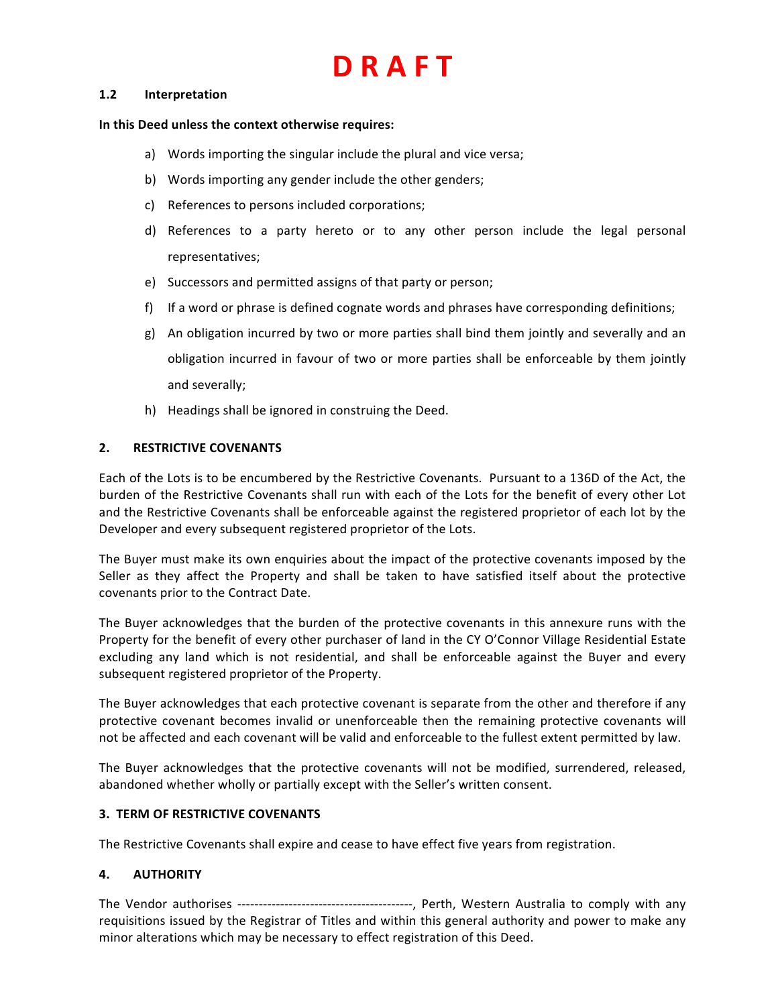#### **1.2 Interpretation**

#### In this Deed unless the context otherwise requires:

- a) Words importing the singular include the plural and vice versa;
- b) Words importing any gender include the other genders;
- c) References to persons included corporations;
- d) References to a party hereto or to any other person include the legal personal representatives;
- e) Successors and permitted assigns of that party or person;
- f) If a word or phrase is defined cognate words and phrases have corresponding definitions;
- g) An obligation incurred by two or more parties shall bind them jointly and severally and an obligation incurred in favour of two or more parties shall be enforceable by them jointly and severally;
- h) Headings shall be ignored in construing the Deed.

### **2. RESTRICTIVE COVENANTS**

Each of the Lots is to be encumbered by the Restrictive Covenants. Pursuant to a 136D of the Act, the burden of the Restrictive Covenants shall run with each of the Lots for the benefit of every other Lot and the Restrictive Covenants shall be enforceable against the registered proprietor of each lot by the Developer and every subsequent registered proprietor of the Lots.

The Buyer must make its own enquiries about the impact of the protective covenants imposed by the Seller as they affect the Property and shall be taken to have satisfied itself about the protective covenants prior to the Contract Date.

The Buyer acknowledges that the burden of the protective covenants in this annexure runs with the Property for the benefit of every other purchaser of land in the CY O'Connor Village Residential Estate excluding any land which is not residential, and shall be enforceable against the Buyer and every subsequent registered proprietor of the Property.

The Buyer acknowledges that each protective covenant is separate from the other and therefore if any protective covenant becomes invalid or unenforceable then the remaining protective covenants will not be affected and each covenant will be valid and enforceable to the fullest extent permitted by law.

The Buyer acknowledges that the protective covenants will not be modified, surrendered, released, abandoned whether wholly or partially except with the Seller's written consent.

#### **3. TERM OF RESTRICTIVE COVENANTS**

The Restrictive Covenants shall expire and cease to have effect five years from registration.

## **4. AUTHORITY**

The Vendor authorises -----------------------------------------, Perth, Western Australia to comply with any requisitions issued by the Registrar of Titles and within this general authority and power to make any minor alterations which may be necessary to effect registration of this Deed.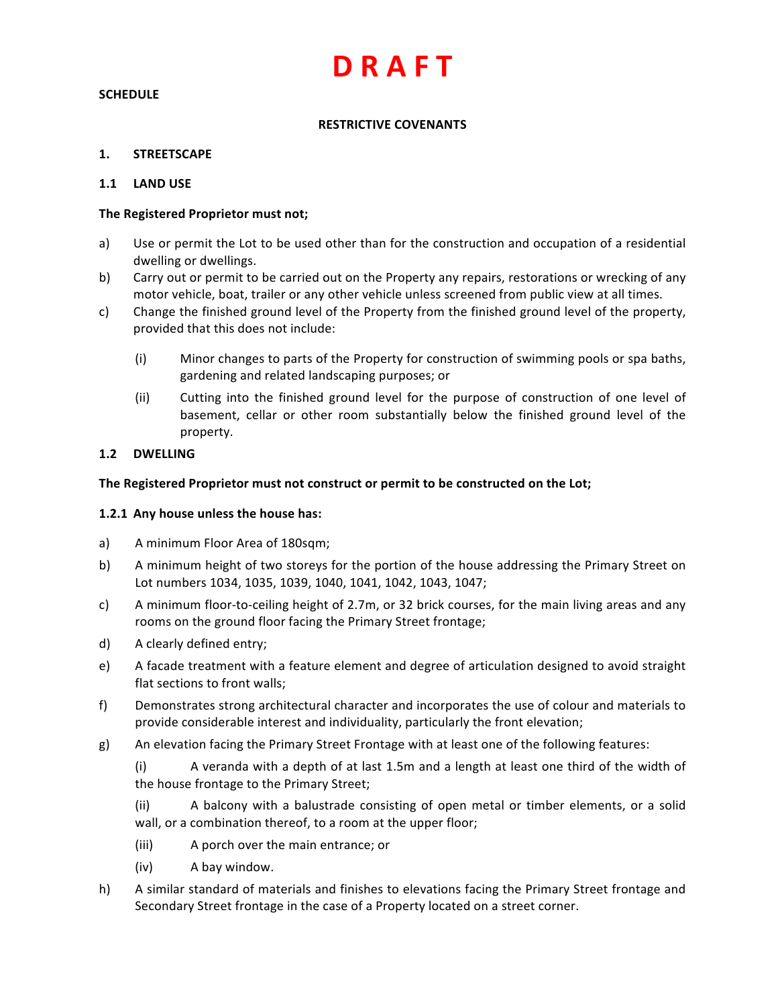### **SCHEDULE**

## **RESTRICTIVE COVENANTS**

### **1. STREETSCAPE**

#### **1.1 LAND USE**

#### The Registered Proprietor must not;

- a) Use or permit the Lot to be used other than for the construction and occupation of a residential dwelling or dwellings.
- b) Carry out or permit to be carried out on the Property any repairs, restorations or wrecking of any motor vehicle, boat, trailer or any other vehicle unless screened from public view at all times.
- c) Change the finished ground level of the Property from the finished ground level of the property, provided that this does not include:
	- (i) Minor changes to parts of the Property for construction of swimming pools or spa baths, gardening and related landscaping purposes; or
	- (ii) Cutting into the finished ground level for the purpose of construction of one level of basement, cellar or other room substantially below the finished ground level of the property.

#### **1.2 DWELLING**

#### The Registered Proprietor must not construct or permit to be constructed on the Lot;

#### **1.2.1 Any house unless the house has:**

- a) A minimum Floor Area of 180sqm;
- b) A minimum height of two storeys for the portion of the house addressing the Primary Street on Lot numbers 1034, 1035, 1039, 1040, 1041, 1042, 1043, 1047;
- c) A minimum floor-to-ceiling height of 2.7m, or 32 brick courses, for the main living areas and any rooms on the ground floor facing the Primary Street frontage;
- d) A clearly defined entry;
- e) A facade treatment with a feature element and degree of articulation designed to avoid straight flat sections to front walls;
- f) Demonstrates strong architectural character and incorporates the use of colour and materials to provide considerable interest and individuality, particularly the front elevation;
- g) An elevation facing the Primary Street Frontage with at least one of the following features:

(i) A veranda with a depth of at last 1.5m and a length at least one third of the width of the house frontage to the Primary Street;

(ii) A balcony with a balustrade consisting of open metal or timber elements, or a solid wall, or a combination thereof, to a room at the upper floor;

- (iii) A porch over the main entrance; or
- (iv) A bay window.
- h) A similar standard of materials and finishes to elevations facing the Primary Street frontage and Secondary Street frontage in the case of a Property located on a street corner.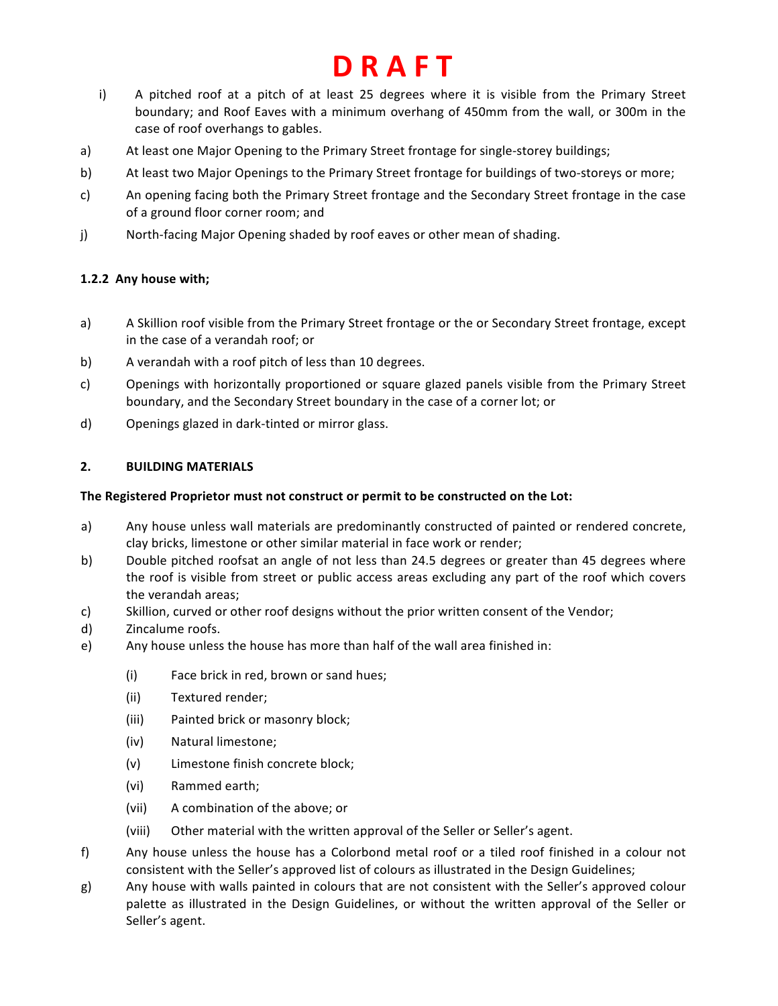- i) A pitched roof at a pitch of at least 25 degrees where it is visible from the Primary Street boundary; and Roof Eaves with a minimum overhang of 450mm from the wall, or 300m in the case of roof overhangs to gables.
- a) At least one Major Opening to the Primary Street frontage for single-storey buildings;
- b) At least two Major Openings to the Primary Street frontage for buildings of two-storeys or more;
- c) An opening facing both the Primary Street frontage and the Secondary Street frontage in the case of a ground floor corner room; and
- j) North-facing Major Opening shaded by roof eaves or other mean of shading.

## 1.2.2 Any house with;

- a) A Skillion roof visible from the Primary Street frontage or the or Secondary Street frontage, except in the case of a verandah roof; or
- b) A verandah with a roof pitch of less than 10 degrees.
- c) Openings with horizontally proportioned or square glazed panels visible from the Primary Street boundary, and the Secondary Street boundary in the case of a corner lot; or
- d) Openings glazed in dark-tinted or mirror glass.

## **2. BUILDING MATERIALS**

## The Registered Proprietor must not construct or permit to be constructed on the Lot:

- a) Any house unless wall materials are predominantly constructed of painted or rendered concrete, clay bricks, limestone or other similar material in face work or render;
- b) Double pitched roofsat an angle of not less than 24.5 degrees or greater than 45 degrees where the roof is visible from street or public access areas excluding any part of the roof which covers the verandah areas:
- c) Skillion, curved or other roof designs without the prior written consent of the Vendor;
- d) Zincalume roofs.
- e) Any house unless the house has more than half of the wall area finished in:
	- (i) Face brick in red, brown or sand hues;
	- (ii) Textured render;
	- (iii) Painted brick or masonry block;
	- (iv) Natural limestone;
	- (v) Limestone finish concrete block;
	- (vi) Rammed earth;
	- (vii) A combination of the above; or
	- (viii) Other material with the written approval of the Seller or Seller's agent.
- f) Any house unless the house has a Colorbond metal roof or a tiled roof finished in a colour not consistent with the Seller's approved list of colours as illustrated in the Design Guidelines;
- g) Any house with walls painted in colours that are not consistent with the Seller's approved colour palette as illustrated in the Design Guidelines, or without the written approval of the Seller or Seller's agent.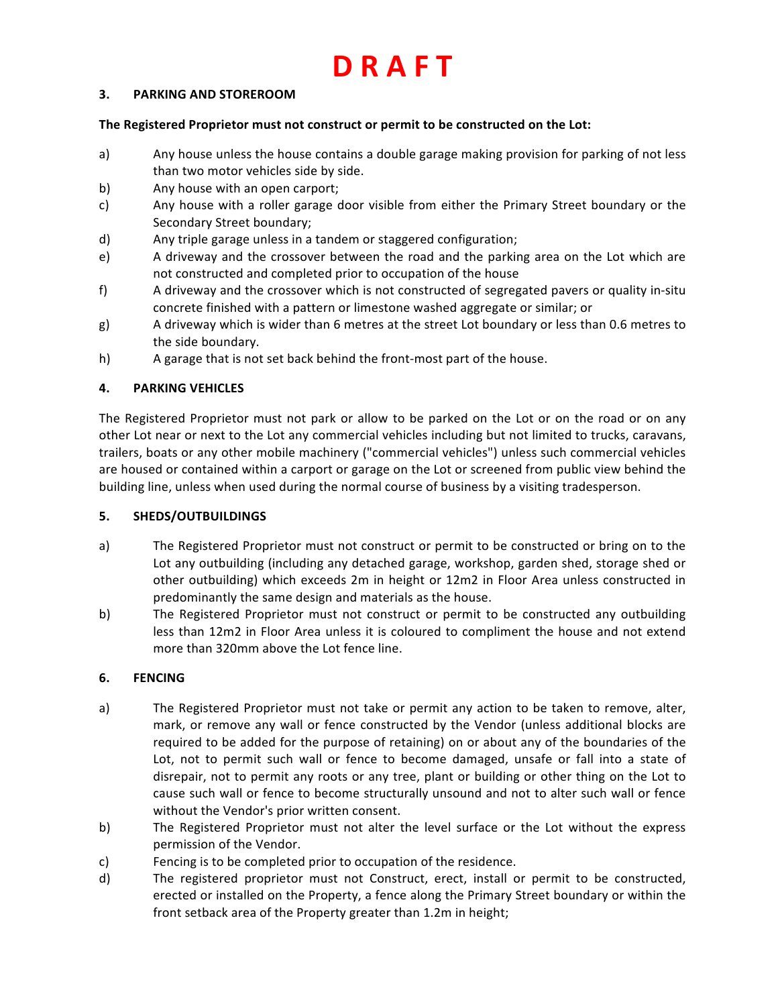## **3. PARKING AND STOREROOM**

#### The Registered Proprietor must not construct or permit to be constructed on the Lot:

- a) Any house unless the house contains a double garage making provision for parking of not less than two motor vehicles side by side.
- b) Any house with an open carport;
- c) Any house with a roller garage door visible from either the Primary Street boundary or the Secondary Street boundary;
- d) Any triple garage unless in a tandem or staggered configuration;
- e) A driveway and the crossover between the road and the parking area on the Lot which are not constructed and completed prior to occupation of the house
- f) A driveway and the crossover which is not constructed of segregated pavers or quality in-situ concrete finished with a pattern or limestone washed aggregate or similar; or
- g) A driveway which is wider than 6 metres at the street Lot boundary or less than 0.6 metres to the side boundary.
- h) A garage that is not set back behind the front-most part of the house.

## **4. PARKING VEHICLES**

The Registered Proprietor must not park or allow to be parked on the Lot or on the road or on any other Lot near or next to the Lot any commercial vehicles including but not limited to trucks, caravans, trailers, boats or any other mobile machinery ("commercial vehicles") unless such commercial vehicles are housed or contained within a carport or garage on the Lot or screened from public view behind the building line, unless when used during the normal course of business by a visiting tradesperson.

## **5. SHEDS/OUTBUILDINGS**

- a) The Registered Proprietor must not construct or permit to be constructed or bring on to the Lot any outbuilding (including any detached garage, workshop, garden shed, storage shed or other outbuilding) which exceeds 2m in height or 12m2 in Floor Area unless constructed in predominantly the same design and materials as the house.
- b) The Registered Proprietor must not construct or permit to be constructed any outbuilding less than 12m2 in Floor Area unless it is coloured to compliment the house and not extend more than 320mm above the Lot fence line.

## **6. FENCING**

- a) The Registered Proprietor must not take or permit any action to be taken to remove, alter, mark, or remove any wall or fence constructed by the Vendor (unless additional blocks are required to be added for the purpose of retaining) on or about any of the boundaries of the Lot, not to permit such wall or fence to become damaged, unsafe or fall into a state of disrepair, not to permit any roots or any tree, plant or building or other thing on the Lot to cause such wall or fence to become structurally unsound and not to alter such wall or fence without the Vendor's prior written consent.
- b) The Registered Proprietor must not alter the level surface or the Lot without the express permission of the Vendor.
- c) Fencing is to be completed prior to occupation of the residence.
- d) The registered proprietor must not Construct, erect, install or permit to be constructed, erected or installed on the Property, a fence along the Primary Street boundary or within the front setback area of the Property greater than 1.2m in height;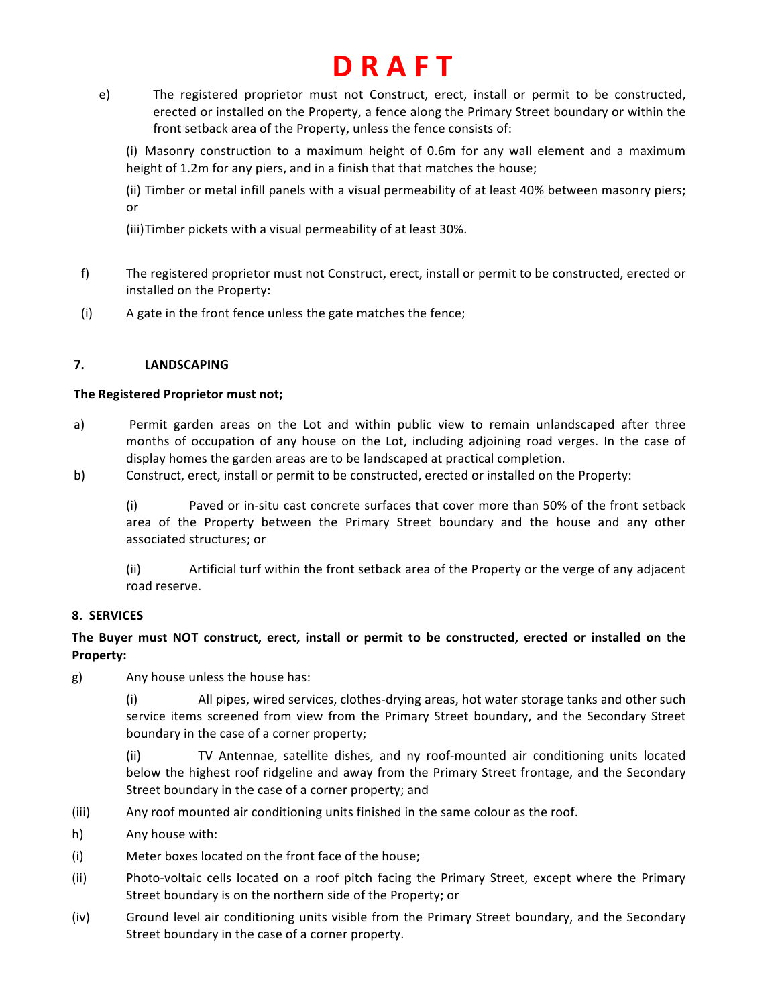e) The registered proprietor must not Construct, erect, install or permit to be constructed, erected or installed on the Property, a fence along the Primary Street boundary or within the front setback area of the Property, unless the fence consists of:

(i) Masonry construction to a maximum height of 0.6m for any wall element and a maximum height of 1.2m for any piers, and in a finish that that matches the house;

(ii) Timber or metal infill panels with a visual permeability of at least 40% between masonry piers; or 

(iii)Timber pickets with a visual permeability of at least 30%.

- f) The registered proprietor must not Construct, erect, install or permit to be constructed, erected or installed on the Property:
- (i) A gate in the front fence unless the gate matches the fence;

## **7. LANDSCAPING**

## The Registered Proprietor must not;

- a) Permit garden areas on the Lot and within public view to remain unlandscaped after three months of occupation of any house on the Lot, including adjoining road verges. In the case of display homes the garden areas are to be landscaped at practical completion.
- b) Construct, erect, install or permit to be constructed, erected or installed on the Property:

(i) Paved or in-situ cast concrete surfaces that cover more than 50% of the front setback area of the Property between the Primary Street boundary and the house and any other associated structures; or

(ii) Artificial turf within the front setback area of the Property or the verge of any adjacent road reserve.

## **8. SERVICES**

## The Buyer must NOT construct, erect, install or permit to be constructed, erected or installed on the **Property:**

g) Any house unless the house has:

(i) All pipes, wired services, clothes-drying areas, hot water storage tanks and other such service items screened from view from the Primary Street boundary, and the Secondary Street boundary in the case of a corner property;

(ii) TV Antennae, satellite dishes, and ny roof-mounted air conditioning units located below the highest roof ridgeline and away from the Primary Street frontage, and the Secondary Street boundary in the case of a corner property; and

- (iii) Any roof mounted air conditioning units finished in the same colour as the roof.
- h) Any house with:
- (i) Meter boxes located on the front face of the house;
- (ii) Photo-voltaic cells located on a roof pitch facing the Primary Street, except where the Primary Street boundary is on the northern side of the Property; or
- (iv) Ground level air conditioning units visible from the Primary Street boundary, and the Secondary Street boundary in the case of a corner property.